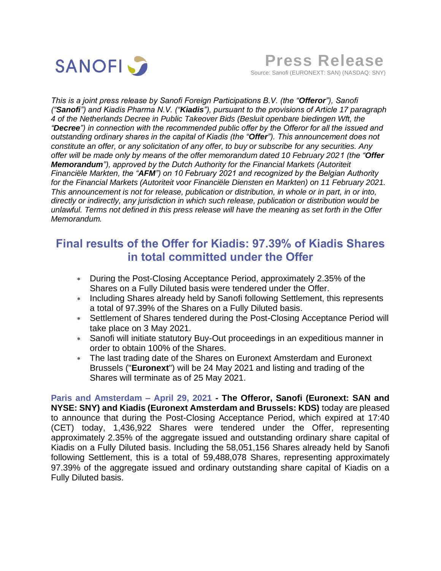

*This is a joint press release by Sanofi Foreign Participations B.V. (the "Offeror"), Sanofi ("Sanofi") and Kiadis Pharma N.V. ("Kiadis"), pursuant to the provisions of Article 17 paragraph 4 of the Netherlands Decree in Public Takeover Bids (Besluit openbare biedingen Wft, the "Decree") in connection with the recommended public offer by the Offeror for all the issued and outstanding ordinary shares in the capital of Kiadis (the "Offer"). This announcement does not constitute an offer, or any solicitation of any offer, to buy or subscribe for any securities. Any offer will be made only by means of the offer memorandum dated 10 February 2021 (the "Offer Memorandum"), approved by the Dutch Authority for the Financial Markets (Autoriteit Financiële Markten, the "AFM") on 10 February 2021 and recognized by the Belgian Authority for the Financial Markets (Autoriteit voor Financiële Diensten en Markten) on 11 February 2021. This announcement is not for release, publication or distribution, in whole or in part, in or into, directly or indirectly, any jurisdiction in which such release, publication or distribution would be unlawful. Terms not defined in this press release will have the meaning as set forth in the Offer Memorandum.*

# **Final results of the Offer for Kiadis: 97.39% of Kiadis Shares in total committed under the Offer**

- During the Post-Closing Acceptance Period, approximately 2.35% of the Shares on a Fully Diluted basis were tendered under the Offer.
- \* Including Shares already held by Sanofi following Settlement, this represents a total of 97.39% of the Shares on a Fully Diluted basis.
- Settlement of Shares tendered during the Post-Closing Acceptance Period will take place on 3 May 2021.
- Sanofi will initiate statutory Buy-Out proceedings in an expeditious manner in order to obtain 100% of the Shares.
- The last trading date of the Shares on Euronext Amsterdam and Euronext Brussels ("**Euronext**") will be 24 May 2021 and listing and trading of the Shares will terminate as of 25 May 2021.

**Paris and Amsterdam – April 29, 2021 - The Offeror, Sanofi (Euronext: SAN and NYSE: SNY) and Kiadis (Euronext Amsterdam and Brussels: KDS)** today are pleased to announce that during the Post-Closing Acceptance Period, which expired at 17:40 (CET) today, 1,436,922 Shares were tendered under the Offer, representing approximately 2.35% of the aggregate issued and outstanding ordinary share capital of Kiadis on a Fully Diluted basis. Including the 58,051,156 Shares already held by Sanofi following Settlement, this is a total of 59,488,078 Shares, representing approximately 97.39% of the aggregate issued and ordinary outstanding share capital of Kiadis on a Fully Diluted basis.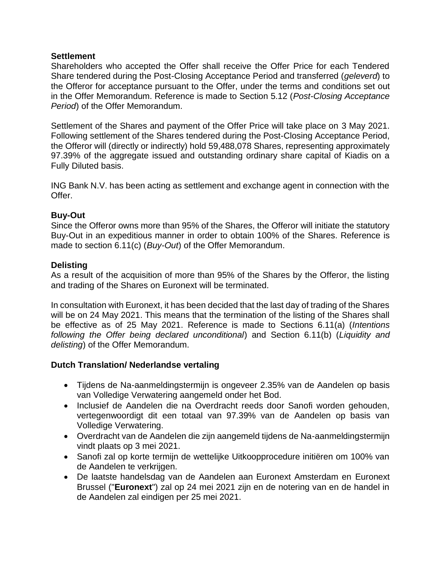# **Settlement**

Shareholders who accepted the Offer shall receive the Offer Price for each Tendered Share tendered during the Post-Closing Acceptance Period and transferred (*geleverd*) to the Offeror for acceptance pursuant to the Offer, under the terms and conditions set out in the Offer Memorandum. Reference is made to Section 5.12 (*Post-Closing Acceptance Period*) of the Offer Memorandum.

Settlement of the Shares and payment of the Offer Price will take place on 3 May 2021. Following settlement of the Shares tendered during the Post-Closing Acceptance Period, the Offeror will (directly or indirectly) hold 59,488,078 Shares, representing approximately 97.39% of the aggregate issued and outstanding ordinary share capital of Kiadis on a Fully Diluted basis.

ING Bank N.V. has been acting as settlement and exchange agent in connection with the Offer.

# **Buy-Out**

Since the Offeror owns more than 95% of the Shares, the Offeror will initiate the statutory Buy-Out in an expeditious manner in order to obtain 100% of the Shares. Reference is made to section 6.11(c) (*Buy-Out*) of the Offer Memorandum.

# **Delisting**

As a result of the acquisition of more than 95% of the Shares by the Offeror, the listing and trading of the Shares on Euronext will be terminated.

In consultation with Euronext, it has been decided that the last day of trading of the Shares will be on 24 May 2021. This means that the termination of the listing of the Shares shall be effective as of 25 May 2021. Reference is made to Sections 6.11(a) (*Intentions following the Offer being declared unconditional*) and Section 6.11(b) (*Liquidity and delisting*) of the Offer Memorandum.

# **Dutch Translation/ Nederlandse vertaling**

- Tijdens de Na-aanmeldingstermijn is ongeveer 2.35% van de Aandelen op basis van Volledige Verwatering aangemeld onder het Bod.
- Inclusief de Aandelen die na Overdracht reeds door Sanofi worden gehouden, vertegenwoordigt dit een totaal van 97.39% van de Aandelen op basis van Volledige Verwatering.
- Overdracht van de Aandelen die zijn aangemeld tijdens de Na-aanmeldingstermijn vindt plaats op 3 mei 2021.
- Sanofi zal op korte termijn de wettelijke Uitkoopprocedure initiëren om 100% van de Aandelen te verkrijgen.
- De laatste handelsdag van de Aandelen aan Euronext Amsterdam en Euronext Brussel ("**Euronext**") zal op 24 mei 2021 zijn en de notering van en de handel in de Aandelen zal eindigen per 25 mei 2021.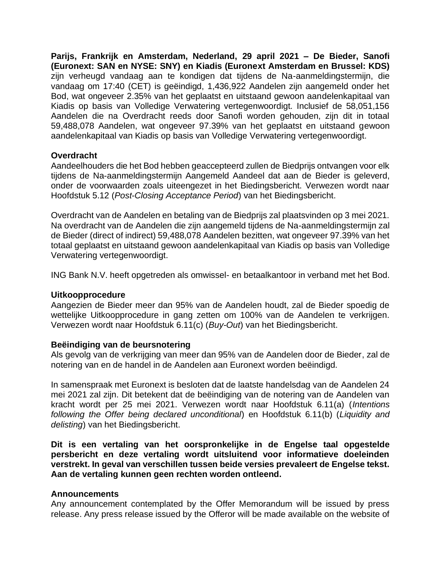**Parijs, Frankrijk en Amsterdam, Nederland, 29 april 2021 – De Bieder, Sanofi (Euronext: SAN en NYSE: SNY) en Kiadis (Euronext Amsterdam en Brussel: KDS)**  zijn verheugd vandaag aan te kondigen dat tijdens de Na-aanmeldingstermijn, die vandaag om 17:40 (CET) is geëindigd, 1,436,922 Aandelen zijn aangemeld onder het Bod, wat ongeveer 2.35% van het geplaatst en uitstaand gewoon aandelenkapitaal van Kiadis op basis van Volledige Verwatering vertegenwoordigt. Inclusief de 58,051,156 Aandelen die na Overdracht reeds door Sanofi worden gehouden, zijn dit in totaal 59,488,078 Aandelen, wat ongeveer 97.39% van het geplaatst en uitstaand gewoon aandelenkapitaal van Kiadis op basis van Volledige Verwatering vertegenwoordigt.

## **Overdracht**

Aandeelhouders die het Bod hebben geaccepteerd zullen de Biedprijs ontvangen voor elk tijdens de Na-aanmeldingstermijn Aangemeld Aandeel dat aan de Bieder is geleverd, onder de voorwaarden zoals uiteengezet in het Biedingsbericht. Verwezen wordt naar Hoofdstuk 5.12 (*Post-Closing Acceptance Period*) van het Biedingsbericht.

Overdracht van de Aandelen en betaling van de Biedprijs zal plaatsvinden op 3 mei 2021. Na overdracht van de Aandelen die zijn aangemeld tijdens de Na-aanmeldingstermijn zal de Bieder (direct of indirect) 59,488,078 Aandelen bezitten, wat ongeveer 97.39% van het totaal geplaatst en uitstaand gewoon aandelenkapitaal van Kiadis op basis van Volledige Verwatering vertegenwoordigt.

ING Bank N.V. heeft opgetreden als omwissel- en betaalkantoor in verband met het Bod.

### **Uitkoopprocedure**

Aangezien de Bieder meer dan 95% van de Aandelen houdt, zal de Bieder spoedig de wettelijke Uitkoopprocedure in gang zetten om 100% van de Aandelen te verkrijgen. Verwezen wordt naar Hoofdstuk 6.11(c) (*Buy-Out*) van het Biedingsbericht.

# **Beëindiging van de beursnotering**

Als gevolg van de verkrijging van meer dan 95% van de Aandelen door de Bieder, zal de notering van en de handel in de Aandelen aan Euronext worden beëindigd.

In samenspraak met Euronext is besloten dat de laatste handelsdag van de Aandelen 24 mei 2021 zal zijn. Dit betekent dat de beëindiging van de notering van de Aandelen van kracht wordt per 25 mei 2021. Verwezen wordt naar Hoofdstuk 6.11(a) (*Intentions following the Offer being declared unconditional*) en Hoofdstuk 6.11(b) (*Liquidity and delisting*) van het Biedingsbericht.

**Dit is een vertaling van het oorspronkelijke in de Engelse taal opgestelde persbericht en deze vertaling wordt uitsluitend voor informatieve doeleinden verstrekt. In geval van verschillen tussen beide versies prevaleert de Engelse tekst. Aan de vertaling kunnen geen rechten worden ontleend.**

### **Announcements**

Any announcement contemplated by the Offer Memorandum will be issued by press release. Any press release issued by the Offeror will be made available on the website of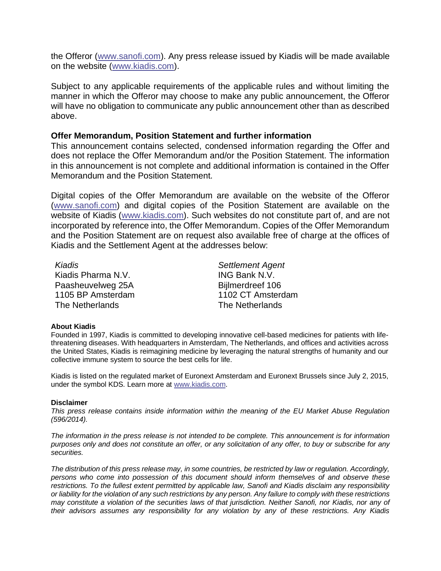the Offeror [\(www.sanofi.com\)](http://www.sanofi.com/). Any press release issued by Kiadis will be made available on the website [\(www.kiadis.com\)](http://www.kiadis.com/).

Subject to any applicable requirements of the applicable rules and without limiting the manner in which the Offeror may choose to make any public announcement, the Offeror will have no obligation to communicate any public announcement other than as described above.

## **Offer Memorandum, Position Statement and further information**

This announcement contains selected, condensed information regarding the Offer and does not replace the Offer Memorandum and/or the Position Statement. The information in this announcement is not complete and additional information is contained in the Offer Memorandum and the Position Statement.

Digital copies of the Offer Memorandum are available on the website of the Offeror [\(www.sanofi.com\)](http://www.sanofi.com/) and digital copies of the Position Statement are available on the website of Kiadis [\(www.kiadis.com\)](http://www.kiadis.com/). Such websites do not constitute part of, and are not incorporated by reference into, the Offer Memorandum. Copies of the Offer Memorandum and the Position Statement are on request also available free of charge at the offices of Kiadis and the Settlement Agent at the addresses below:

*Kiadis*  Kiadis Pharma N.V. Paasheuvelweg 25A 1105 BP Amsterdam The Netherlands

*Settlement Agent* ING Bank N.V. Bijlmerdreef 106 1102 CT Amsterdam The Netherlands

#### **About Kiadis**

Founded in 1997, Kiadis is committed to developing innovative cell-based medicines for patients with lifethreatening diseases. With headquarters in Amsterdam, The Netherlands, and offices and activities across the United States, Kiadis is reimagining medicine by leveraging the natural strengths of humanity and our collective immune system to source the best cells for life.

Kiadis is listed on the regulated market of Euronext Amsterdam and Euronext Brussels since July 2, 2015, under the symbol KDS. Learn more at [www.kiadis.com.](http://www.kiadis.com/)

#### **Disclaimer**

*This press release contains inside information within the meaning of the EU Market Abuse Regulation (596/2014).*

*The information in the press release is not intended to be complete. This announcement is for information purposes only and does not constitute an offer, or any solicitation of any offer, to buy or subscribe for any securities.* 

*The distribution of this press release may, in some countries, be restricted by law or regulation. Accordingly, persons who come into possession of this document should inform themselves of and observe these restrictions. To the fullest extent permitted by applicable law, Sanofi and Kiadis disclaim any responsibility or liability for the violation of any such restrictions by any person. Any failure to comply with these restrictions may constitute a violation of the securities laws of that jurisdiction. Neither Sanofi, nor Kiadis, nor any of their advisors assumes any responsibility for any violation by any of these restrictions. Any Kiadis*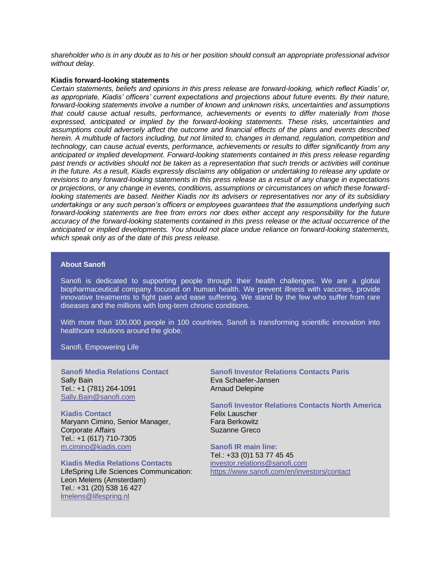*shareholder who is in any doubt as to his or her position should consult an appropriate professional advisor without delay.* 

#### **Kiadis forward-looking statements**

*Certain statements, beliefs and opinions in this press release are forward-looking, which reflect Kiadis' or, as appropriate, Kiadis' officers' current expectations and projections about future events. By their nature, forward-looking statements involve a number of known and unknown risks, uncertainties and assumptions that could cause actual results, performance, achievements or events to differ materially from those expressed, anticipated or implied by the forward-looking statements. These risks, uncertainties and assumptions could adversely affect the outcome and financial effects of the plans and events described herein. A multitude of factors including, but not limited to, changes in demand, regulation, competition and technology, can cause actual events, performance, achievements or results to differ significantly from any anticipated or implied development. Forward-looking statements contained in this press release regarding past trends or activities should not be taken as a representation that such trends or activities will continue in the future. As a result, Kiadis expressly disclaims any obligation or undertaking to release any update or revisions to any forward-looking statements in this press release as a result of any change in expectations or projections, or any change in events, conditions, assumptions or circumstances on which these forwardlooking statements are based. Neither Kiadis nor its advisers or representatives nor any of its subsidiary undertakings or any such person's officers or employees guarantees that the assumptions underlying such forward-looking statements are free from errors nor does either accept any responsibility for the future accuracy of the forward-looking statements contained in this press release or the actual occurrence of the anticipated or implied developments. You should not place undue reliance on forward-looking statements, which speak only as of the date of this press release.*

#### **About Sanofi**

Sanofi is dedicated to supporting people through their health challenges. We are a global biopharmaceutical company focused on human health. We prevent illness with vaccines, provide innovative treatments to fight pain and ease suffering. We stand by the few who suffer from rare diseases and the millions with long-term chronic conditions.

With more than 100,000 people in 100 countries, Sanofi is transforming scientific innovation into healthcare solutions around the globe.

Sanofi, Empowering Life

**Sanofi Media Relations Contact**  Sally Bain Tel.: +1 (781) 264-1091 [Sally.Bain@sanofi.com](mailto:Sally.Bain@sanofi.com)

**Kiadis Contact**  Maryann Cimino, Senior Manager, Corporate Affairs Tel.: +1 (617) 710-7305 [m.cimino@kiadis.com](mailto:m.cimino@kiadis.com)

**Kiadis Media Relations Contacts**  LifeSpring Life Sciences Communication: Leon Melens (Amsterdam) Tel.: +31 (20) 538 16 427 [lmelens@lifespring.nl](mailto:lmelens@lifespring.nl)

**Sanofi Investor Relations Contacts Paris** Eva Schaefer-Jansen Arnaud Delepine

**Sanofi Investor Relations Contacts North America**

Felix Lauscher Fara Berkowitz Suzanne Greco

**Sanofi IR main line:** Tel.: +33 (0)1 53 77 45 45 [investor.relations@sanofi.com](mailto:investor.relations@sanofi.com) https://www.sanofi.com/en/investors/contact